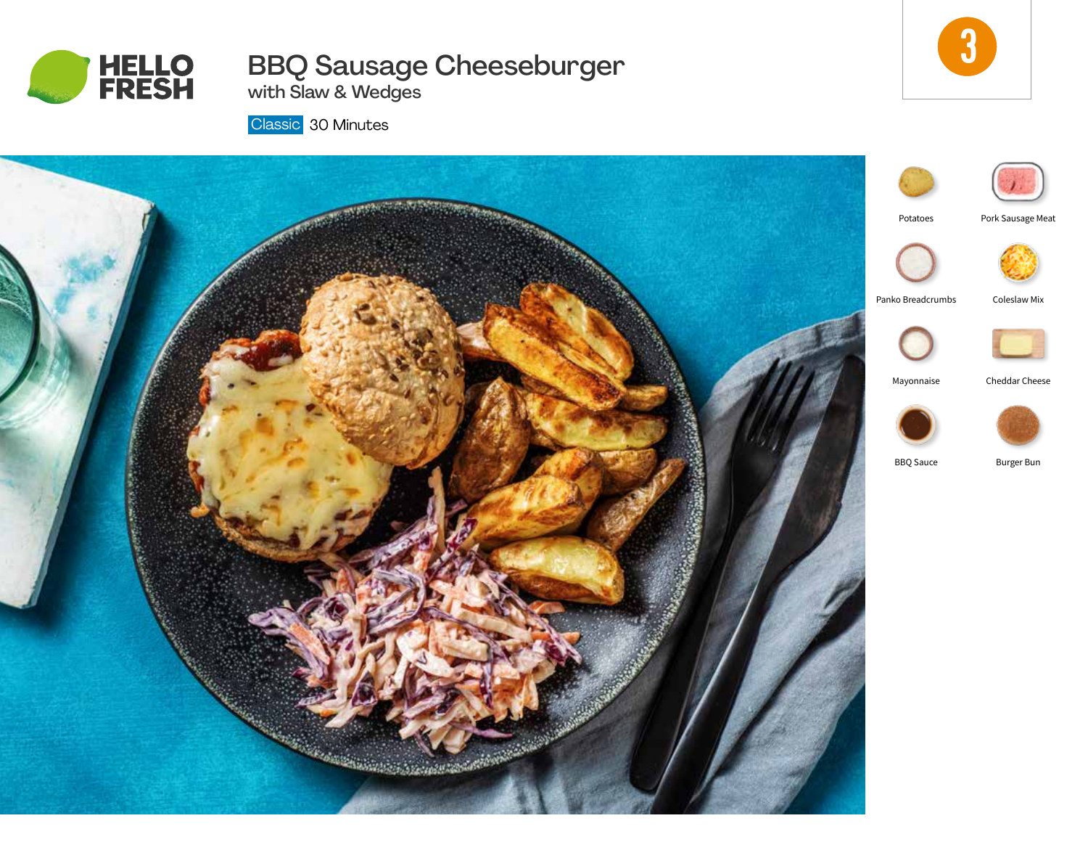

# BBQ Sausage Cheeseburger with Slaw & Wedges